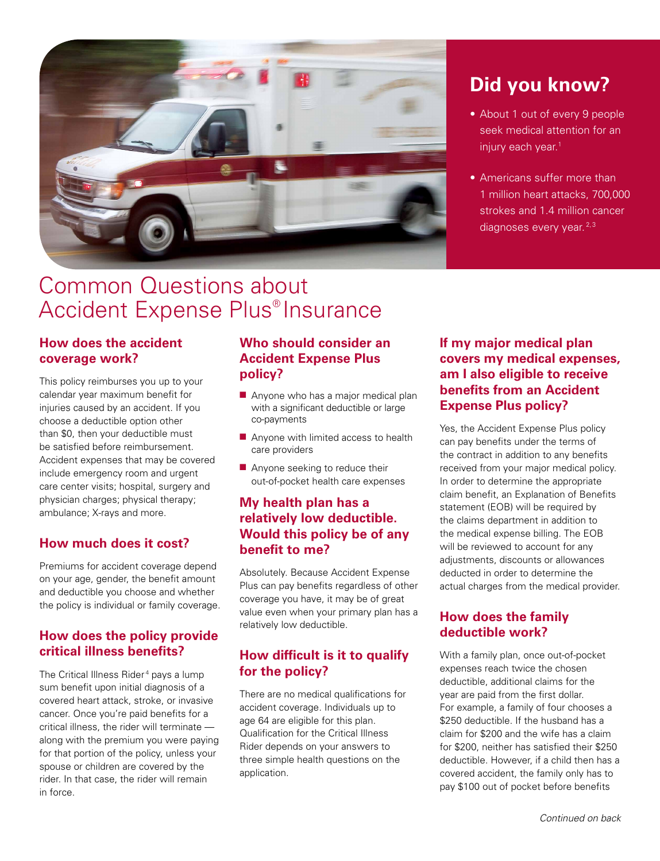

## **Did you know?**

- About 1 out of every 9 people seek medical attention for an injury each year.<sup>1</sup>
- • Americans suffer more than 1 million heart attacks, 700,000 strokes and 1.4 million cancer diagnoses every year.<sup>2,3</sup>

# Common Questions about Accident Expense Plus® Insurance

#### **How does the accident coverage work?**

This policy reimburses you up to your calendar year maximum benefit for injuries caused by an accident. If you choose a deductible option other than \$0, then your deductible must be satisfied before reimbursement. Accident expenses that may be covered include emergency room and urgent care center visits; hospital, surgery and physician charges; physical therapy; ambulance; X-rays and more.

#### **How much does it cost?**

Premiums for accident coverage depend on your age, gender, the benefit amount and deductible you choose and whether the policy is individual or family coverage.

#### **How does the policy provide critical illness benefits?**

The Critical Illness Rider <sup>4</sup> pays a lump sum benefit upon initial diagnosis of a covered heart attack, stroke, or invasive cancer. Once you're paid benefits for a critical illness, the rider will terminate along with the premium you were paying for that portion of the policy, unless your spouse or children are covered by the rider. In that case, the rider will remain in force.

#### **Who should consider an Accident Expense Plus policy?**

- Anyone who has a major medical plan with a significant deductible or large co-payments
- Anyone with limited access to health care providers
- Anyone seeking to reduce their out-of-pocket health care expenses

#### **My health plan has a relatively low deductible. Would this policy be of any benefit to me?**

Absolutely. Because Accident Expense Plus can pay benefits regardless of other coverage you have, it may be of great value even when your primary plan has a relatively low deductible.

#### **How difficult is it to qualify for the policy?**

There are no medical qualifications for accident coverage. Individuals up to age 64 are eligible for this plan. Qualification for the Critical Illness Rider depends on your answers to three simple health questions on the application.

#### **If my major medical plan covers my medical expenses, am I also eligible to receive benefits from an Accident Expense Plus policy?**

Yes, the Accident Expense Plus policy can pay benefits under the terms of the contract in addition to any benefits received from your major medical policy. In order to determine the appropriate claim benefit, an Explanation of Benefits statement (EOB) will be required by the claims department in addition to the medical expense billing. The EOB will be reviewed to account for any adjustments, discounts or allowances deducted in order to determine the actual charges from the medical provider.

#### **How does the family deductible work?**

With a family plan, once out-of-pocket expenses reach twice the chosen deductible, additional claims for the year are paid from the first dollar. For example, a family of four chooses a \$250 deductible. If the husband has a claim for \$200 and the wife has a claim for \$200, neither has satisfied their \$250 deductible. However, if a child then has a covered accident, the family only has to pay \$100 out of pocket before benefits